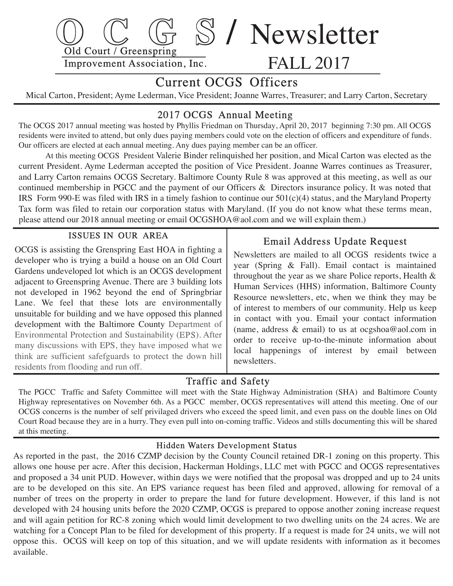

# Current OCGS Officers

Mical Carton, President; Ayme Lederman, Vice President; Joanne Warres, Treasurer; and Larry Carton, Secretary

## 2017 OCGS Annual Meeting

The OCGS 2017 annual meeting was hosted by Phyllis Friedman on Thursday, April 20, 2017 beginning 7:30 pm. All OCGS residents were invited to attend, but only dues paying members could vote on the election of officers and expenditure of funds. Our officers are elected at each annual meeting. Any dues paying member can be an officer.

 At this meeting OCGS President Valerie Binder relinquished her position, and Mical Carton was elected as the current President. Ayme Lederman accepted the position of Vice President. Joanne Warres continues as Treasurer, and Larry Carton remains OCGS Secretary. Baltimore County Rule 8 was approved at this meeting, as well as our continued membership in PGCC and the payment of our Officers & Directors insurance policy. It was noted that IRS Form 990-E was filed with IRS in a timely fashion to continue our 501(c)(4) status, and the Maryland Property Tax form was filed to retain our corporation status with Maryland. (If you do not know what these terms mean, please attend our 2018 annual meeting or email OCGSHOA@aol.com and we will explain them.)

#### ISSUES IN OUR AREA

 OCGS is assisting the Grenspring East HOA in fighting a developer who is trying a build a house on an Old Court Gardens undeveloped lot which is an OCGS development adjacent to Greenspring Avenue. There are 3 building lots not developed in 1962 beyond the end of Springbriar Lane. We feel that these lots are environmentally unsuitable for building and we have opposed this planned development with the Baltimore County Department of Environmental Protection and Sustainability (EPS). After many discussions with EPS, they have imposed what we think are sufficient safefguards to protect the down hill residents from flooding and run off.

## Email Address Update Request

 Newsletters are mailed to all OCGS residents twice a year (Spring & Fall). Email contact is maintained throughout the year as we share Police reports, Health & Human Services (HHS) information, Baltimore County Resource newsletters, etc, when we think they may be of interest to members of our community. Help us keep in contact with you. Email your contact information (name, address & email) to us at ocgshoa@aol.com in order to receive up-to-the-minute information about local happenings of interest by email between newsletters.

#### Traffic and Safety

 The PGCC Traffic and Safety Committee will meet with the State Highway Administration (SHA) and Baltimore County Highway representatives on November 6th. As a PGCC member, OCGS representatives will attend this meeting. One of our OCGS concerns is the number of self privilaged drivers who exceed the speed limit, and even pass on the double lines on Old Court Road because they are in a hurry. They even pull into on-coming traffic. Videos and stills documenting this will be shared at this meeting.

#### Hidden Waters Development Status

 As reported in the past, the 2016 CZMP decision by the County Council retained DR-1 zoning on this property. This allows one house per acre. After this decision, Hackerman Holdings, LLC met with PGCC and OCGS representatives and proposed a 34 unit PUD. However, within days we were notified that the proposal was dropped and up to 24 units are to be developed on this site. An EPS variance request has been filed and approved, allowing for removal of a number of trees on the property in order to prepare the land for future development. However, if this land is not developed with 24 housing units before the 2020 CZMP, OCGS is prepared to oppose another zoning increase request and will again petition for RC-8 zoning which would limit development to two dwelling units on the 24 acres. We are watching for a Concept Plan to be filed for development of this property. If a request is made for 24 units, we will not oppose this. OCGS will keep on top of this situation, and we will update residents with information as it becomes available.